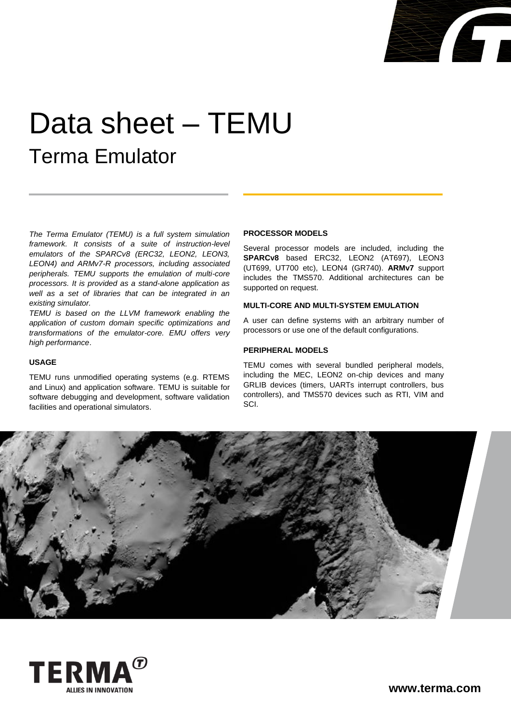

# Data sheet – TEMU Terma Emulator

*The Terma Emulator (TEMU) is a full system simulation framework. It consists of a suite of instruction-level emulators of the SPARCv8 (ERC32, LEON2, LEON3, LEON4) and ARMv7-R processors, including associated peripherals. TEMU supports the emulation of multi-core processors. It is provided as a stand-alone application as well as a set of libraries that can be integrated in an existing simulator.*

*TEMU is based on the LLVM framework enabling the application of custom domain specific optimizations and transformations of the emulator-core. EMU offers very high performance*.

#### **USAGE**

TEMU runs unmodified operating systems (e.g. RTEMS and Linux) and application software. TEMU is suitable for software debugging and development, software validation facilities and operational simulators.

#### **PROCESSOR MODELS**

Several processor models are included, including the **SPARCv8** based ERC32, LEON2 (AT697), LEON3 (UT699, UT700 etc), LEON4 (GR740). **ARMv7** support includes the TMS570. Additional architectures can be supported on request.

#### **MULTI-CORE AND MULTI-SYSTEM EMULATION**

A user can define systems with an arbitrary number of processors or use one of the default configurations.

## **PERIPHERAL MODELS**

TEMU comes with several bundled peripheral models, including the MEC, LEON2 on-chip devices and many GRLIB devices (timers, UARTs interrupt controllers, bus controllers), and TMS570 devices such as RTI, VIM and SCI.